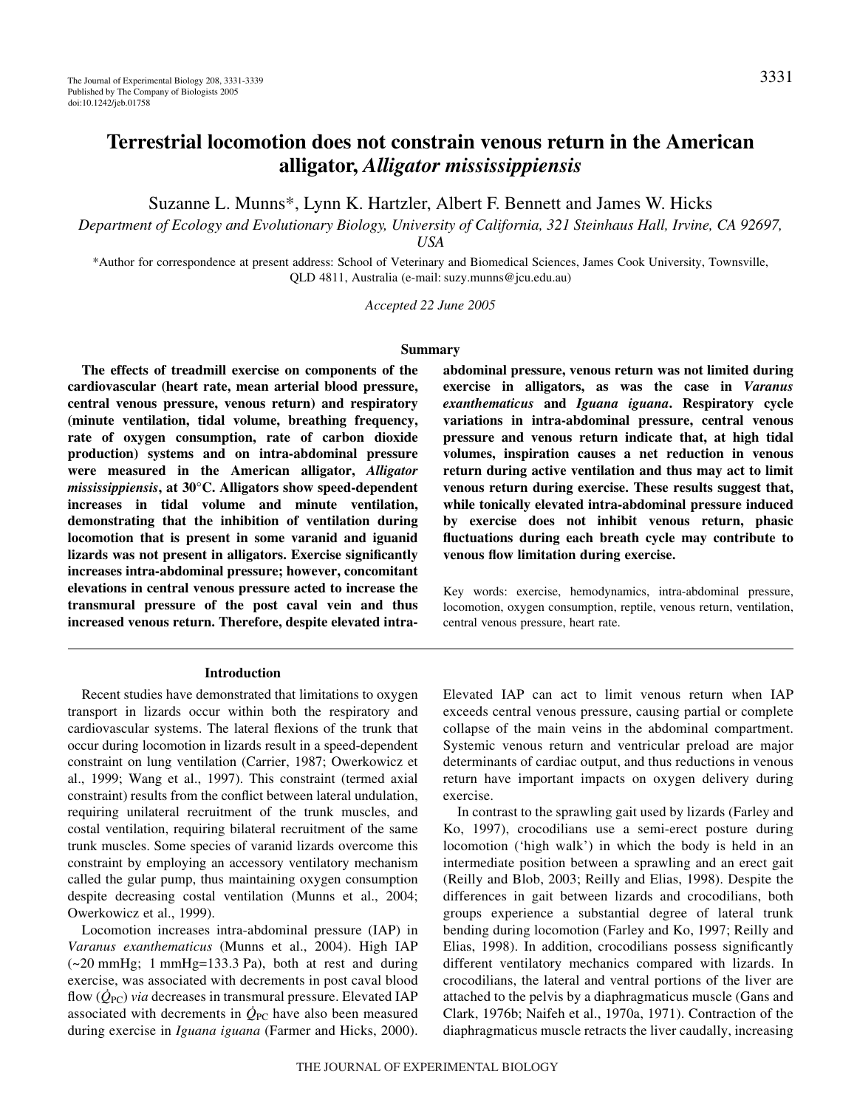# **Terrestrial locomotion does not constrain venous return in the American alligator,** *Alligator mississippiensis*

Suzanne L. Munns\*, Lynn K. Hartzler, Albert F. Bennett and James W. Hicks

*Department of Ecology and Evolutionary Biology, University of California, 321 Steinhaus Hall, Irvine, CA 92697, USA*

\*Author for correspondence at present address: School of Veterinary and Biomedical Sciences, James Cook University, Townsville, QLD 4811, Australia (e-mail: suzy.munns@jcu.edu.au)

*Accepted 22 June 2005*

#### **Summary**

**The effects of treadmill exercise on components of the cardiovascular (heart rate, mean arterial blood pressure, central venous pressure, venous return) and respiratory (minute ventilation, tidal volume, breathing frequency, rate of oxygen consumption, rate of carbon dioxide production) systems and on intra-abdominal pressure were measured in the American alligator,** *Alligator mississippiensis***, at 30°C. Alligators show speed-dependent increases in tidal volume and minute ventilation, demonstrating that the inhibition of ventilation during locomotion that is present in some varanid and iguanid lizards was not present in alligators. Exercise significantly increases intra-abdominal pressure; however, concomitant elevations in central venous pressure acted to increase the transmural pressure of the post caval vein and thus increased venous return. Therefore, despite elevated intra-**

#### **Introduction**

Recent studies have demonstrated that limitations to oxygen transport in lizards occur within both the respiratory and cardiovascular systems. The lateral flexions of the trunk that occur during locomotion in lizards result in a speed-dependent constraint on lung ventilation (Carrier, 1987; Owerkowicz et al., 1999; Wang et al., 1997). This constraint (termed axial constraint) results from the conflict between lateral undulation, requiring unilateral recruitment of the trunk muscles, and costal ventilation, requiring bilateral recruitment of the same trunk muscles. Some species of varanid lizards overcome this constraint by employing an accessory ventilatory mechanism called the gular pump, thus maintaining oxygen consumption despite decreasing costal ventilation (Munns et al., 2004; Owerkowicz et al., 1999).

Locomotion increases intra-abdominal pressure (IAP) in *Varanus exanthematicus* (Munns et al., 2004). High IAP  $(-20 \text{ mmHg}; 1 \text{ mmHg}=133.3 \text{ Pa})$ , both at rest and during exercise, was associated with decrements in post caval blood flow  $(Q_{PC})$  *via* decreases in transmural pressure. Elevated IAP associated with decrements in  $\dot{Q}_{PC}$  have also been measured during exercise in *Iguana iguana* (Farmer and Hicks, 2000). **abdominal pressure, venous return was not limited during exercise in alligators, as was the case in** *Varanus exanthematicus* **and** *Iguana iguana***. Respiratory cycle variations in intra-abdominal pressure, central venous pressure and venous return indicate that, at high tidal volumes, inspiration causes a net reduction in venous return during active ventilation and thus may act to limit venous return during exercise. These results suggest that, while tonically elevated intra-abdominal pressure induced by exercise does not inhibit venous return, phasic fluctuations during each breath cycle may contribute to venous flow limitation during exercise.**

Key words: exercise, hemodynamics, intra-abdominal pressure, locomotion, oxygen consumption, reptile, venous return, ventilation, central venous pressure, heart rate.

Elevated IAP can act to limit venous return when IAP exceeds central venous pressure, causing partial or complete collapse of the main veins in the abdominal compartment. Systemic venous return and ventricular preload are major determinants of cardiac output, and thus reductions in venous return have important impacts on oxygen delivery during exercise.

In contrast to the sprawling gait used by lizards (Farley and Ko, 1997), crocodilians use a semi-erect posture during locomotion ('high walk') in which the body is held in an intermediate position between a sprawling and an erect gait (Reilly and Blob, 2003; Reilly and Elias, 1998). Despite the differences in gait between lizards and crocodilians, both groups experience a substantial degree of lateral trunk bending during locomotion (Farley and Ko, 1997; Reilly and Elias, 1998). In addition, crocodilians possess significantly different ventilatory mechanics compared with lizards. In crocodilians, the lateral and ventral portions of the liver are attached to the pelvis by a diaphragmaticus muscle (Gans and Clark, 1976b; Naifeh et al., 1970a, 1971). Contraction of the diaphragmaticus muscle retracts the liver caudally, increasing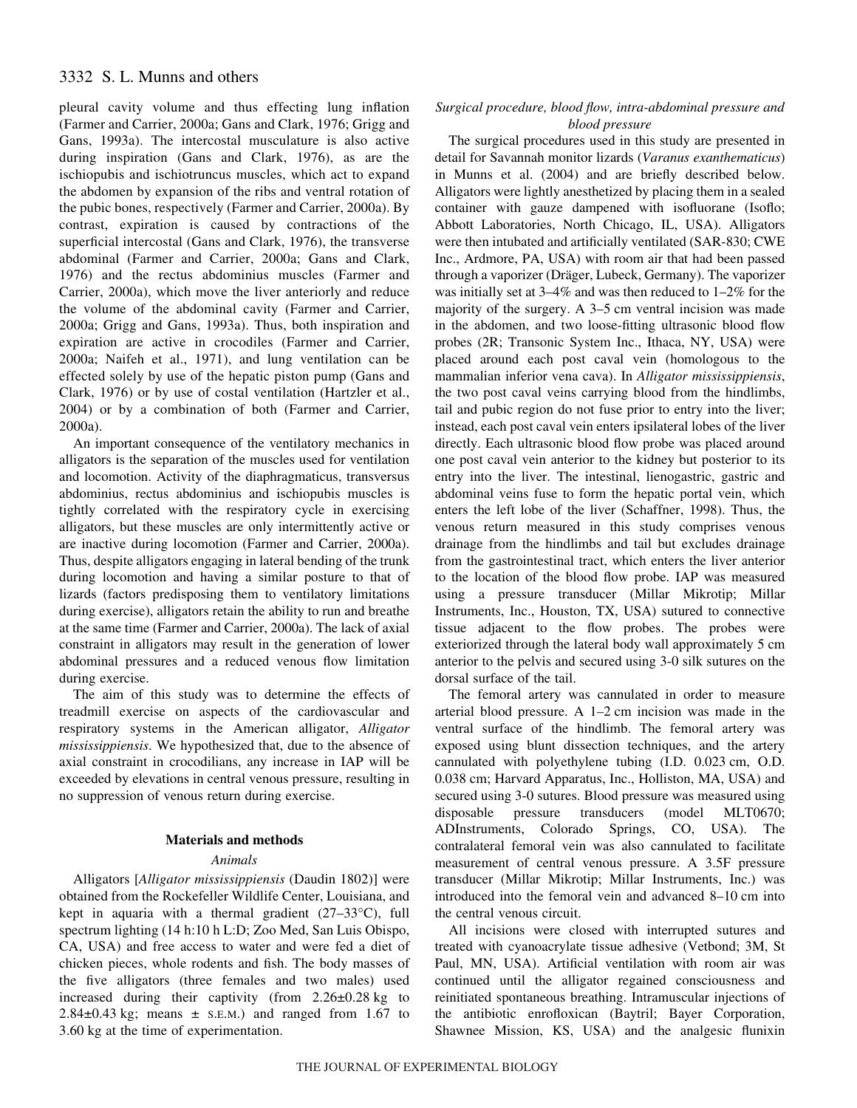# 3332 S. L. Munns and others

pleural cavity volume and thus effecting lung inflation (Farmer and Carrier, 2000a; Gans and Clark, 1976; Grigg and Gans, 1993a). The intercostal musculature is also active during inspiration (Gans and Clark, 1976), as are the ischiopubis and ischiotruncus muscles, which act to expand the abdomen by expansion of the ribs and ventral rotation of the pubic bones, respectively (Farmer and Carrier, 2000a). By contrast, expiration is caused by contractions of the superficial intercostal (Gans and Clark, 1976), the transverse abdominal (Farmer and Carrier, 2000a; Gans and Clark, 1976) and the rectus abdominius muscles (Farmer and Carrier, 2000a), which move the liver anteriorly and reduce the volume of the abdominal cavity (Farmer and Carrier, 2000a; Grigg and Gans, 1993a). Thus, both inspiration and expiration are active in crocodiles (Farmer and Carrier, 2000a; Naifeh et al., 1971), and lung ventilation can be effected solely by use of the hepatic piston pump (Gans and Clark, 1976) or by use of costal ventilation (Hartzler et al., 2004) or by a combination of both (Farmer and Carrier, 2000a).

An important consequence of the ventilatory mechanics in alligators is the separation of the muscles used for ventilation and locomotion. Activity of the diaphragmaticus, transversus abdominius, rectus abdominius and ischiopubis muscles is tightly correlated with the respiratory cycle in exercising alligators, but these muscles are only intermittently active or are inactive during locomotion (Farmer and Carrier, 2000a). Thus, despite alligators engaging in lateral bending of the trunk during locomotion and having a similar posture to that of lizards (factors predisposing them to ventilatory limitations during exercise), alligators retain the ability to run and breathe at the same time (Farmer and Carrier, 2000a). The lack of axial constraint in alligators may result in the generation of lower abdominal pressures and a reduced venous flow limitation during exercise.

The aim of this study was to determine the effects of treadmill exercise on aspects of the cardiovascular and respiratory systems in the American alligator, *Alligator mississippiensis*. We hypothesized that, due to the absence of axial constraint in crocodilians, any increase in IAP will be exceeded by elevations in central venous pressure, resulting in no suppression of venous return during exercise.

#### **Materials and methods**

#### *Animals*

Alligators [*Alligator mississippiensis* (Daudin 1802)] were obtained from the Rockefeller Wildlife Center, Louisiana, and kept in aquaria with a thermal gradient  $(27-33^{\circ}C)$ , full spectrum lighting (14 h:10 h L:D; Zoo Med, San Luis Obispo, CA, USA) and free access to water and were fed a diet of chicken pieces, whole rodents and fish. The body masses of the five alligators (three females and two males) used increased during their captivity (from  $2.26 \pm 0.28$  kg to  $2.84\pm0.43$  kg; means  $\pm$  s.e.m.) and ranged from 1.67 to 3.60 kg at the time of experimentation.

### *Surgical procedure, blood flow, intra-abdominal pressure and blood pressure*

The surgical procedures used in this study are presented in detail for Savannah monitor lizards (*Varanus exanthematicus*) in Munns et al. (2004) and are briefly described below. Alligators were lightly anesthetized by placing them in a sealed container with gauze dampened with isofluorane (Isoflo; Abbott Laboratories, North Chicago, IL, USA). Alligators were then intubated and artificially ventilated (SAR-830; CWE Inc., Ardmore, PA, USA) with room air that had been passed through a vaporizer (Dräger, Lubeck, Germany). The vaporizer was initially set at 3–4% and was then reduced to 1–2% for the majority of the surgery. A  $3-5$  cm ventral incision was made in the abdomen, and two loose-fitting ultrasonic blood flow probes (2R; Transonic System Inc., Ithaca, NY, USA) were placed around each post caval vein (homologous to the mammalian inferior vena cava). In *Alligator mississippiensis*, the two post caval veins carrying blood from the hindlimbs, tail and pubic region do not fuse prior to entry into the liver; instead, each post caval vein enters ipsilateral lobes of the liver directly. Each ultrasonic blood flow probe was placed around one post caval vein anterior to the kidney but posterior to its entry into the liver. The intestinal, lienogastric, gastric and abdominal veins fuse to form the hepatic portal vein, which enters the left lobe of the liver (Schaffner, 1998). Thus, the venous return measured in this study comprises venous drainage from the hindlimbs and tail but excludes drainage from the gastrointestinal tract, which enters the liver anterior to the location of the blood flow probe. IAP was measured using a pressure transducer (Millar Mikrotip; Millar Instruments, Inc., Houston, TX, USA) sutured to connective tissue adjacent to the flow probes. The probes were exteriorized through the lateral body wall approximately 5 cm anterior to the pelvis and secured using 3-0 silk sutures on the dorsal surface of the tail.

The femoral artery was cannulated in order to measure arterial blood pressure. A  $1-2$  cm incision was made in the ventral surface of the hindlimb. The femoral artery was exposed using blunt dissection techniques, and the artery cannulated with polyethylene tubing (I.D. 0.023 cm, O.D. 0.038 cm; Harvard Apparatus, Inc., Holliston, MA, USA) and secured using 3-0 sutures. Blood pressure was measured using disposable pressure transducers (model MLT0670; ADInstruments, Colorado Springs, CO, USA). The contralateral femoral vein was also cannulated to facilitate measurement of central venous pressure. A 3.5F pressure transducer (Millar Mikrotip; Millar Instruments, Inc.) was introduced into the femoral vein and advanced 8–10 cm into the central venous circuit.

All incisions were closed with interrupted sutures and treated with cyanoacrylate tissue adhesive (Vetbond; 3M, St Paul, MN, USA). Artificial ventilation with room air was continued until the alligator regained consciousness and reinitiated spontaneous breathing. Intramuscular injections of the antibiotic enrofloxican (Baytril; Bayer Corporation, Shawnee Mission, KS, USA) and the analgesic flunixin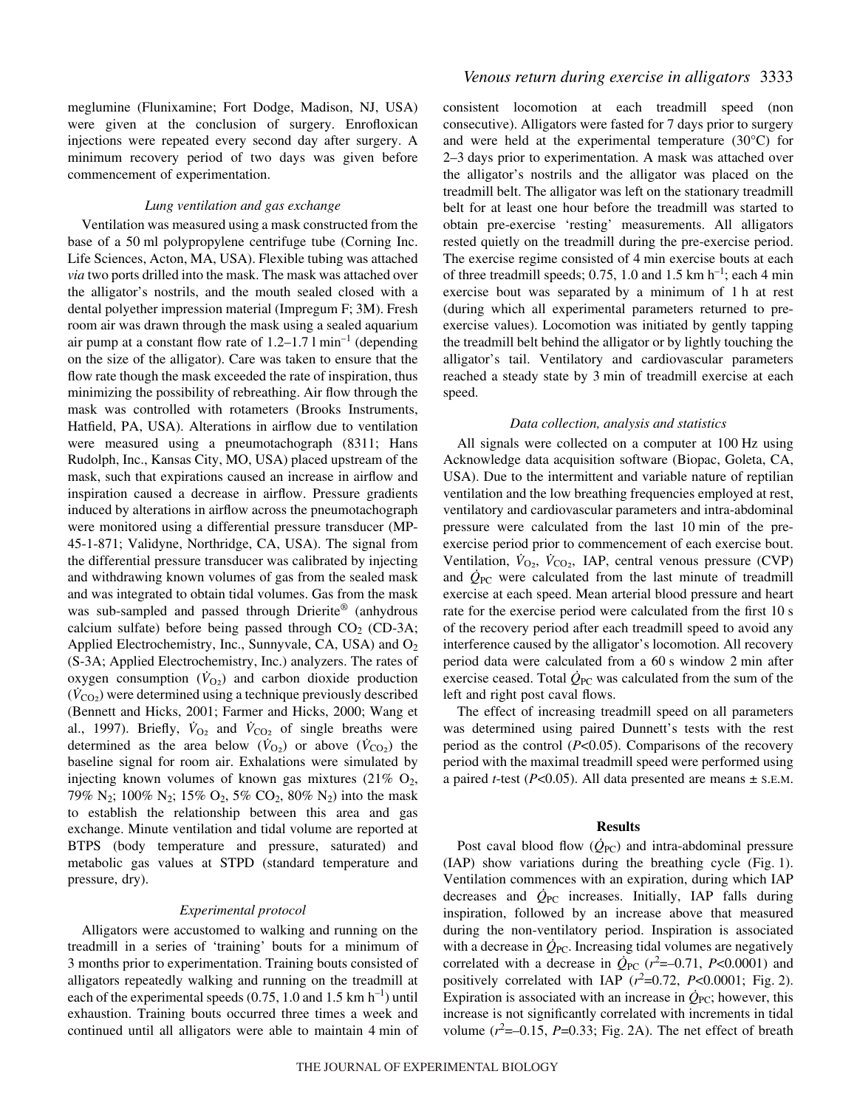meglumine (Flunixamine; Fort Dodge, Madison, NJ, USA) were given at the conclusion of surgery. Enrofloxican injections were repeated every second day after surgery. A minimum recovery period of two days was given before commencement of experimentation.

#### *Lung ventilation and gas exchange*

Ventilation was measured using a mask constructed from the base of a 50 ml polypropylene centrifuge tube (Corning Inc. Life Sciences, Acton, MA, USA). Flexible tubing was attached *via* two ports drilled into the mask. The mask was attached over the alligator's nostrils, and the mouth sealed closed with a dental polyether impression material (Impregum F; 3M). Fresh room air was drawn through the mask using a sealed aquarium air pump at a constant flow rate of  $1.2-1.71$  min<sup>-1</sup> (depending on the size of the alligator). Care was taken to ensure that the flow rate though the mask exceeded the rate of inspiration, thus minimizing the possibility of rebreathing. Air flow through the mask was controlled with rotameters (Brooks Instruments, Hatfield, PA, USA). Alterations in airflow due to ventilation were measured using a pneumotachograph (8311; Hans Rudolph, Inc., Kansas City, MO, USA) placed upstream of the mask, such that expirations caused an increase in airflow and inspiration caused a decrease in airflow. Pressure gradients induced by alterations in airflow across the pneumotachograph were monitored using a differential pressure transducer (MP-45-1-871; Validyne, Northridge, CA, USA). The signal from the differential pressure transducer was calibrated by injecting and withdrawing known volumes of gas from the sealed mask and was integrated to obtain tidal volumes. Gas from the mask was sub-sampled and passed through Drierite® (anhydrous calcium sulfate) before being passed through  $CO<sub>2</sub>$  (CD-3A; Applied Electrochemistry, Inc., Sunnyvale, CA, USA) and  $O<sub>2</sub>$ (S-3A; Applied Electrochemistry, Inc.) analyzers. The rates of oxygen consumption  $(V<sub>O2</sub>)$  and carbon dioxide production  $(\dot{V}_{\text{CO}_2})$  were determined using a technique previously described (Bennett and Hicks, 2001; Farmer and Hicks, 2000; Wang et al., 1997). Briefly,  $\dot{V}_{O_2}$  and  $\dot{V}_{CO_2}$  of single breaths were determined as the area below ( $\dot{V}_{\text{O}_2}$ ) or above ( $\dot{V}_{\text{CO}_2}$ ) the baseline signal for room air. Exhalations were simulated by injecting known volumes of known gas mixtures (21%  $O_2$ , 79% N<sub>2</sub>; 100% N<sub>2</sub>; 15% O<sub>2</sub>, 5% CO<sub>2</sub>, 80% N<sub>2</sub>) into the mask to establish the relationship between this area and gas exchange. Minute ventilation and tidal volume are reported at BTPS (body temperature and pressure, saturated) and metabolic gas values at STPD (standard temperature and pressure, dry).

#### *Experimental protocol*

Alligators were accustomed to walking and running on the treadmill in a series of 'training' bouts for a minimum of 3 months prior to experimentation. Training bouts consisted of alligators repeatedly walking and running on the treadmill at each of the experimental speeds  $(0.75, 1.0$  and  $1.5~km h^{-1}$ ) until exhaustion. Training bouts occurred three times a week and continued until all alligators were able to maintain 4 min of

consistent locomotion at each treadmill speed (non consecutive). Alligators were fasted for 7 days prior to surgery and were held at the experimental temperature (30°C) for 2–3 days prior to experimentation. A mask was attached over the alligator's nostrils and the alligator was placed on the treadmill belt. The alligator was left on the stationary treadmill belt for at least one hour before the treadmill was started to obtain pre-exercise 'resting' measurements. All alligators rested quietly on the treadmill during the pre-exercise period. The exercise regime consisted of 4 min exercise bouts at each of three treadmill speeds; 0.75, 1.0 and 1.5 km  $h^{-1}$ ; each 4 min exercise bout was separated by a minimum of 1 h at rest (during which all experimental parameters returned to preexercise values). Locomotion was initiated by gently tapping the treadmill belt behind the alligator or by lightly touching the alligator's tail. Ventilatory and cardiovascular parameters reached a steady state by 3 min of treadmill exercise at each speed.

#### *Data collection, analysis and statistics*

All signals were collected on a computer at 100 Hz using Acknowledge data acquisition software (Biopac, Goleta, CA, USA). Due to the intermittent and variable nature of reptilian ventilation and the low breathing frequencies employed at rest, ventilatory and cardiovascular parameters and intra-abdominal pressure were calculated from the last 10 min of the preexercise period prior to commencement of each exercise bout. Ventilation,  $\dot{V}_{O_2}$ ,  $\dot{V}_{CO_2}$ , IAP, central venous pressure (CVP) and  $\dot{Q}_{PC}$  were calculated from the last minute of treadmill exercise at each speed. Mean arterial blood pressure and heart rate for the exercise period were calculated from the first 10 s of the recovery period after each treadmill speed to avoid any interference caused by the alligator's locomotion. All recovery period data were calculated from a 60 s window 2 min after exercise ceased. Total  $\dot{Q}_{PC}$  was calculated from the sum of the left and right post caval flows.

The effect of increasing treadmill speed on all parameters was determined using paired Dunnett's tests with the rest period as the control (*P*<0.05). Comparisons of the recovery period with the maximal treadmill speed were performed using a paired *t*-test (*P*<0.05). All data presented are means ± S.E.M.

#### **Results**

Post caval blood flow  $(\dot{Q}_{PC})$  and intra-abdominal pressure  $(IAP)$  show variations during the breathing cycle  $(Fig. 1)$ . Ventilation commences with an expiration, during which IAP decreases and  $Q_{PC}$  increases. Initially, IAP falls during inspiration, followed by an increase above that measured during the non-ventilatory period. Inspiration is associated with a decrease in  $\dot{Q}_{PC}$ . Increasing tidal volumes are negatively correlated with a decrease in  $\dot{Q}_{PC}$  ( $r^2 = -0.71$ ,  $P < 0.0001$ ) and positively correlated with IAP  $(r^2=0.72, P<0.0001$ ; Fig. 2). Expiration is associated with an increase in  $Q_{\text{PC}}$ ; however, this increase is not significantly correlated with increments in tidal volume  $(r^2 = -0.15, P = 0.33$ ; Fig. 2A). The net effect of breath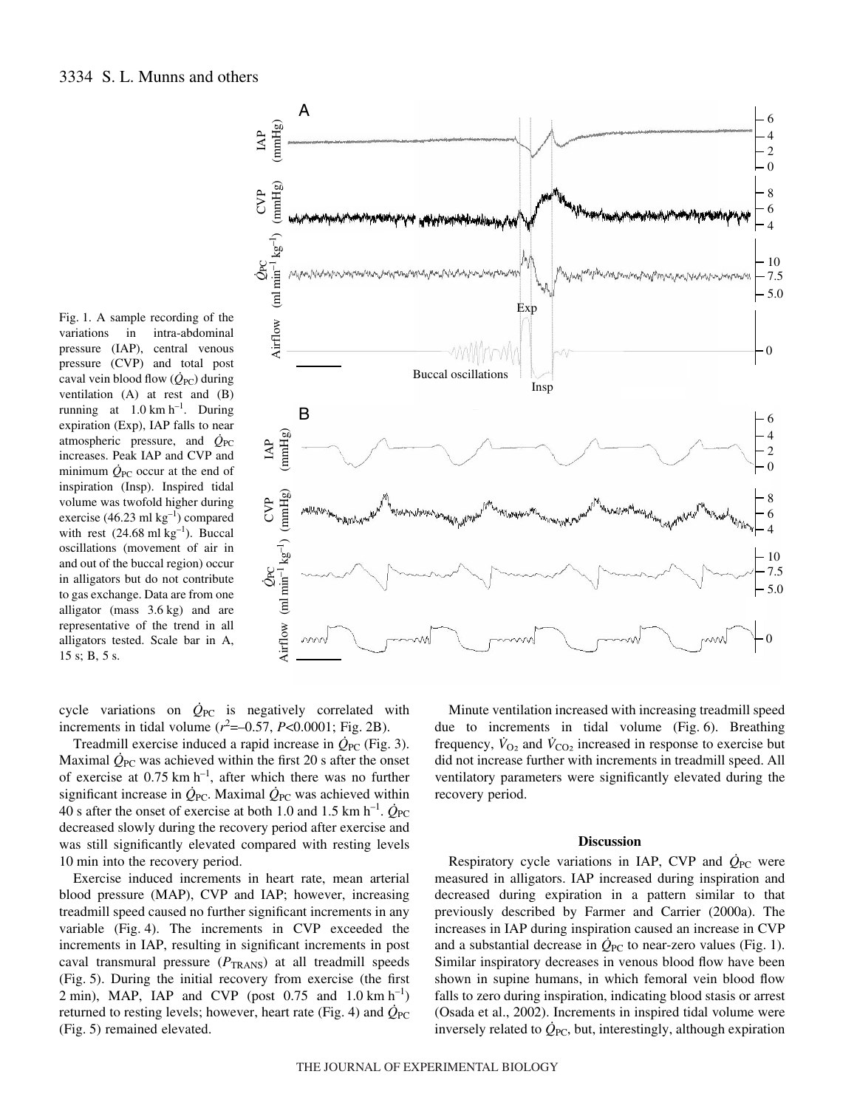Fig. 1. A sample recording of the variations in intra-abdominal pressure (IAP), central venous pressure (CVP) and total post caval vein blood flow  $(\dot{Q}_{PC})$  during ventilation (A) at rest and (B) running at  $1.0 \text{ km h}^{-1}$ . During expiration (Exp), IAP falls to near atmospheric pressure, and  $\dot{Q}_{PC}$ increases. Peak IAP and CVP and minimum  $Q_{\text{PC}}$  occur at the end of inspiration (Insp). Inspired tidal volume was twofold higher during exercise (46.23 ml  $kg^{-1}$ ) compared with rest  $(24.68 \text{ ml kg}^{-1})$ . Buccal oscillations (movement of air in and out of the buccal region) occur in alligators but do not contribute to gas exchange. Data are from one alligator (mass  $3.6 \text{ kg}$ ) and are representative of the trend in all alligators tested. Scale bar in A,  $15 s; B, 5 s.$ 



cycle variations on  $\dot{Q}_{PC}$  is negatively correlated with increments in tidal volume  $(r^2 = -0.57, P < 0.0001;$  Fig. 2B).

Treadmill exercise induced a rapid increase in  $\dot{Q}_{PC}$  (Fig. 3). Maximal  $\dot{Q}_{PC}$  was achieved within the first 20 s after the onset of exercise at  $0.75 \text{ km h}^{-1}$ , after which there was no further significant increase in  $\dot{Q}_{PC}$ . Maximal  $\dot{Q}_{PC}$  was achieved within 40 s after the onset of exercise at both 1.0 and 1.5 km h<sup>-1</sup>.  $\dot{Q}_{PC}$ decreased slowly during the recovery period after exercise and was still significantly elevated compared with resting levels 10 min into the recovery period.

Exercise induced increments in heart rate, mean arterial blood pressure (MAP), CVP and IAP; however, increasing treadmill speed caused no further significant increments in any variable  $(Fig. 4)$ . The increments in CVP exceeded the increments in IAP, resulting in significant increments in post caval transmural pressure ( $P_{\text{TRANS}}$ ) at all treadmill speeds (Fig. 5). During the initial recovery from exercise (the first 2 min), MAP, IAP and CVP (post 0.75 and 1.0 km  $h^{-1}$ ) returned to resting levels; however, heart rate (Fig. 4) and  $\dot{Q}_{PC}$ (Fig. 5) remained elevated.

Minute ventilation increased with increasing treadmill speed due to increments in tidal volume (Fig. 6). Breathing frequency,  $\dot{V}_{O_2}$  and  $\dot{V}_{CO_2}$  increased in response to exercise but did not increase further with increments in treadmill speed. All ventilatory parameters were significantly elevated during the recovery period.

#### **Discussion**

Respiratory cycle variations in IAP, CVP and  $\dot{Q}_{PC}$  were measured in alligators. IAP increased during inspiration and decreased during expiration in a pattern similar to that previously described by Farmer and Carrier (2000a). The increases in IAP during inspiration caused an increase in CVP and a substantial decrease in  $\dot{Q}_{PC}$  to near-zero values (Fig. 1). Similar inspiratory decreases in venous blood flow have been shown in supine humans, in which femoral vein blood flow falls to zero during inspiration, indicating blood stasis or arrest (Osada et al., 2002). Increments in inspired tidal volume were inversely related to  $\dot{Q}_{PC}$ , but, interestingly, although expiration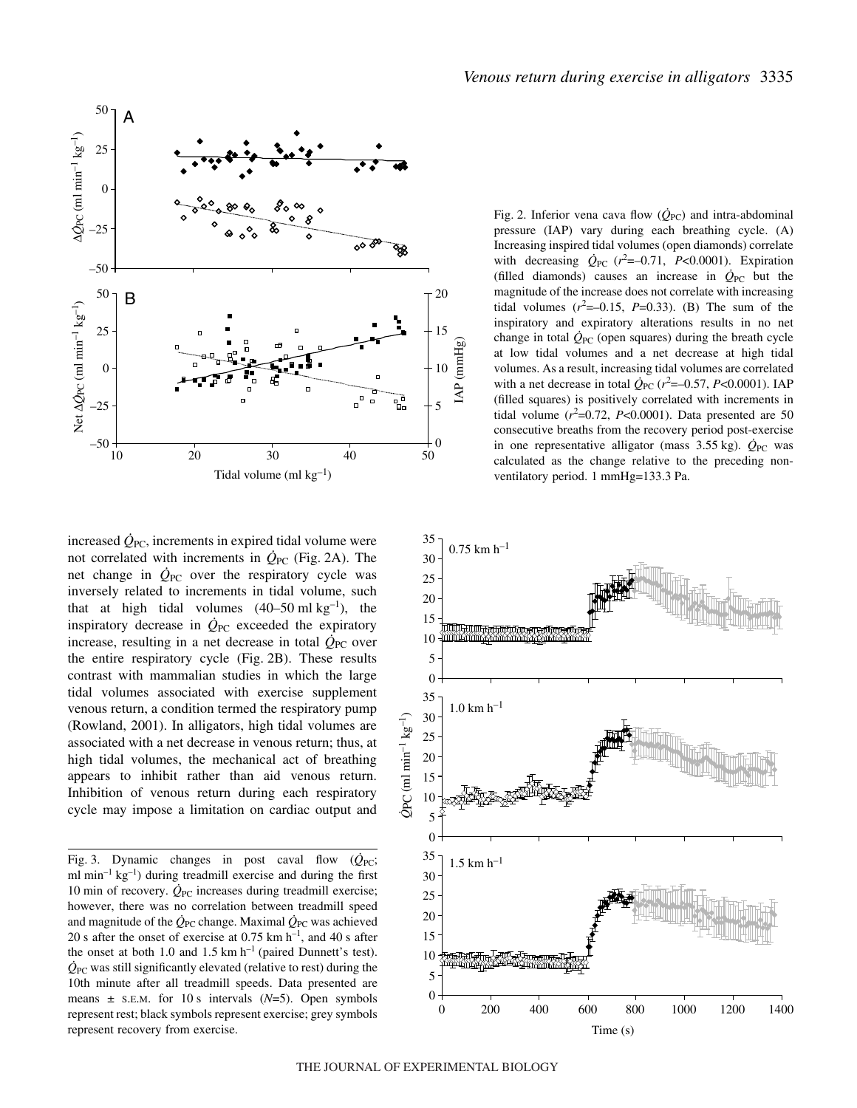

increased  $\dot{Q}_{PC}$ , increments in expired tidal volume were not correlated with increments in  $Q_{PC}$  (Fig. 2A). The net change in  $\dot{Q}_{PC}$  over the respiratory cycle was inversely related to increments in tidal volume, such that at high tidal volumes  $(40-50 \text{ ml kg}^{-1})$ , the inspiratory decrease in  $\dot{Q}_{PC}$  exceeded the expiratory increase, resulting in a net decrease in total  $\dot{Q}_{PC}$  over the entire respiratory cycle  $(Fig. 2B)$ . These results contrast with mammalian studies in which the large tidal volumes associated with exercise supplement venous return, a condition termed the respiratory pump (Rowland, 2001). In alligators, high tidal volumes are associated with a net decrease in venous return; thus, at high tidal volumes, the mechanical act of breathing appears to inhibit rather than aid venous return. Inhibition of venous return during each respiratory cycle may impose a limitation on cardiac output and

Fig. 3. Dynamic changes in post caval flow  $(\dot{Q}_{PC};$ ml  $min^{-1} kg^{-1}$ ) during treadmill exercise and during the first 10 min of recovery.  $\dot{Q}_{PC}$  increases during treadmill exercise; however, there was no correlation between treadmill speed and magnitude of the  $\dot{Q}_{PC}$  change. Maximal  $\dot{Q}_{PC}$  was achieved 20 s after the onset of exercise at 0.75 km  $h^{-1}$ , and 40 s after the onset at both 1.0 and 1.5 km  $h^{-1}$  (paired Dunnett's test).  $\dot{Q}_{PC}$  was still significantly elevated (relative to rest) during the 10th minute after all treadmill speeds. Data presented are means  $\pm$  s.E.M. for 10 s intervals ( $N=5$ ). Open symbols represent rest; black symbols represent exercise; grey symbols represent recovery from exercise.

Fig. 2. Inferior vena cava flow  $(\dot{Q}_{PC})$  and intra-abdominal pressure (IAP) vary during each breathing cycle. (A) Increasing inspired tidal volumes (open diamonds) correlate with decreasing  $\dot{Q}_{PC}$  ( $r^2 = -0.71$ ,  $P < 0.0001$ ). Expiration (filled diamonds) causes an increase in  $\dot{Q}_{PC}$  but the magnitude of the increase does not correlate with increasing tidal volumes  $(r^2=-0.15, P=0.33)$ . (B) The sum of the inspiratory and expiratory alterations results in no net change in total  $\dot{Q}_{PC}$  (open squares) during the breath cycle at low tidal volumes and a net decrease at high tidal volumes. As a result, increasing tidal volumes are correlated with a net decrease in total  $\dot{Q}_{PC}$  ( $r^2 = -0.57$ ,  $P < 0.0001$ ). IAP (filled squares) is positively correlated with increments in tidal volume  $(r^2=0.72, P<0.0001)$ . Data presented are 50 consecutive breaths from the recovery period post-exercise in one representative alligator (mass  $3.55 \text{ kg}$ ).  $\dot{Q}_{PC}$  was calculated as the change relative to the preceding nonventilatory period. 1 mmHg=133.3 Pa.

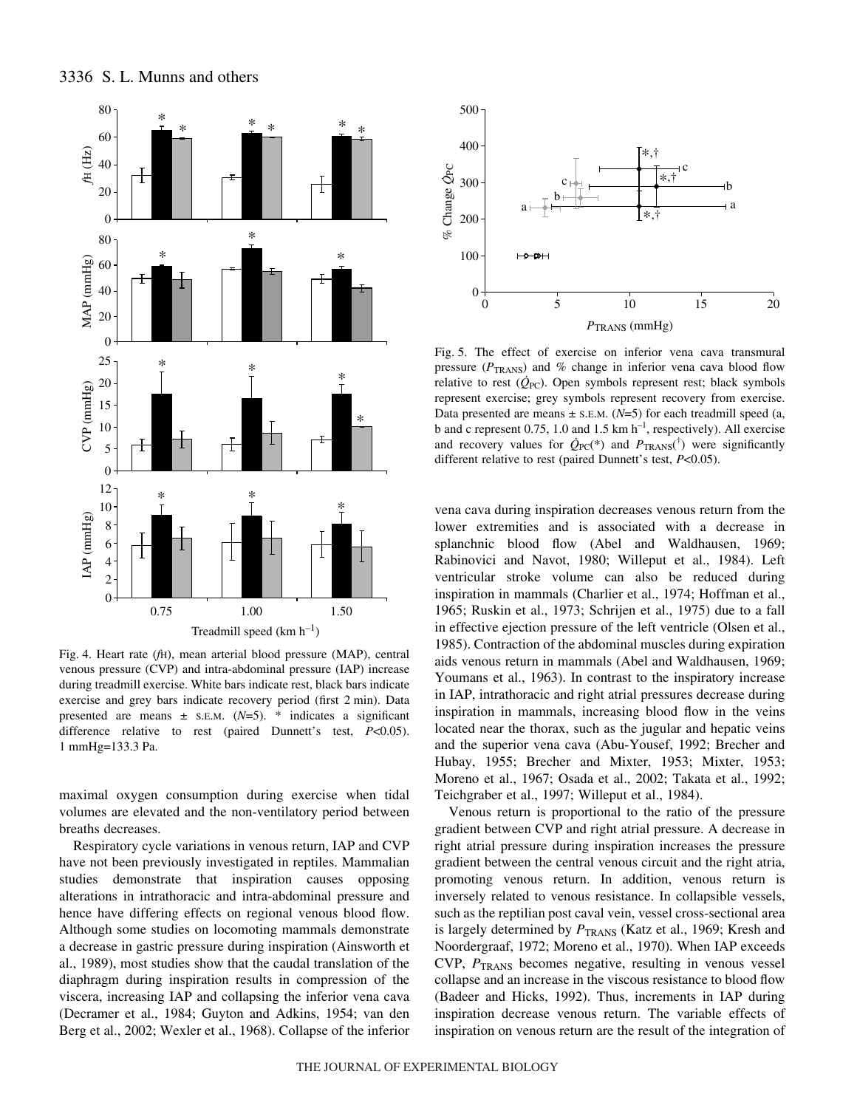



Fig. 4. Heart rate (*f*H), mean arterial blood pressure (MAP), central venous pressure (CVP) and intra-abdominal pressure (IAP) increase during treadmill exercise. White bars indicate rest, black bars indicate exercise and grey bars indicate recovery period (first 2 min). Data presented are means ± S.E.M. (*N*=5). \* indicates a significant difference relative to rest (paired Dunnett's test, *P*<0.05). 1 mmHg=133.3 Pa.

maximal oxygen consumption during exercise when tidal volumes are elevated and the non-ventilatory period between breaths decreases.

Respiratory cycle variations in venous return, IAP and CVP have not been previously investigated in reptiles. Mammalian studies demonstrate that inspiration causes opposing alterations in intrathoracic and intra-abdominal pressure and hence have differing effects on regional venous blood flow. Although some studies on locomoting mammals demonstrate a decrease in gastric pressure during inspiration (Ainsworth et al., 1989), most studies show that the caudal translation of the diaphragm during inspiration results in compression of the viscera, increasing IAP and collapsing the inferior vena cava (Decramer et al., 1984; Guyton and Adkins, 1954; van den Berg et al., 2002; Wexler et al., 1968). Collapse of the inferior



Fig. 5. The effect of exercise on inferior vena cava transmural pressure ( $P_{\text{TRANS}}$ ) and % change in inferior vena cava blood flow relative to rest  $(\dot{Q}_{PC})$ . Open symbols represent rest; black symbols represent exercise; grey symbols represent recovery from exercise. Data presented are means  $\pm$  s.e.m. ( $N=5$ ) for each treadmill speed (a, b and c represent 0.75, 1.0 and 1.5 km  $h^{-1}$ , respectively). All exercise and recovery values for  $\dot{Q}_{PC}$ <sup>\*</sup>) and  $P_{TRANS}$ <sup> $\dagger$ </sup>) were significantly different relative to rest (paired Dunnett's test, *P*<0.05).

vena cava during inspiration decreases venous return from the lower extremities and is associated with a decrease in splanchnic blood flow (Abel and Waldhausen, 1969; Rabinovici and Navot, 1980; Willeput et al., 1984). Left ventricular stroke volume can also be reduced during inspiration in mammals (Charlier et al., 1974; Hoffman et al., 1965; Ruskin et al., 1973; Schrijen et al., 1975) due to a fall in effective ejection pressure of the left ventricle (Olsen et al., 1985). Contraction of the abdominal muscles during expiration aids venous return in mammals (Abel and Waldhausen, 1969; Youmans et al., 1963). In contrast to the inspiratory increase in IAP, intrathoracic and right atrial pressures decrease during inspiration in mammals, increasing blood flow in the veins located near the thorax, such as the jugular and hepatic veins and the superior vena cava (Abu-Yousef, 1992; Brecher and Hubay, 1955; Brecher and Mixter, 1953; Mixter, 1953; Moreno et al., 1967; Osada et al., 2002; Takata et al., 1992; Teichgraber et al., 1997; Willeput et al., 1984).

Venous return is proportional to the ratio of the pressure gradient between CVP and right atrial pressure. A decrease in right atrial pressure during inspiration increases the pressure gradient between the central venous circuit and the right atria, promoting venous return. In addition, venous return is inversely related to venous resistance. In collapsible vessels, such as the reptilian post caval vein, vessel cross-sectional area is largely determined by  $P_{\text{TRANS}}$  (Katz et al., 1969; Kresh and Noordergraaf, 1972; Moreno et al., 1970). When IAP exceeds CVP, *P*TRANS becomes negative, resulting in venous vessel collapse and an increase in the viscous resistance to blood flow (Badeer and Hicks, 1992). Thus, increments in IAP during inspiration decrease venous return. The variable effects of inspiration on venous return are the result of the integration of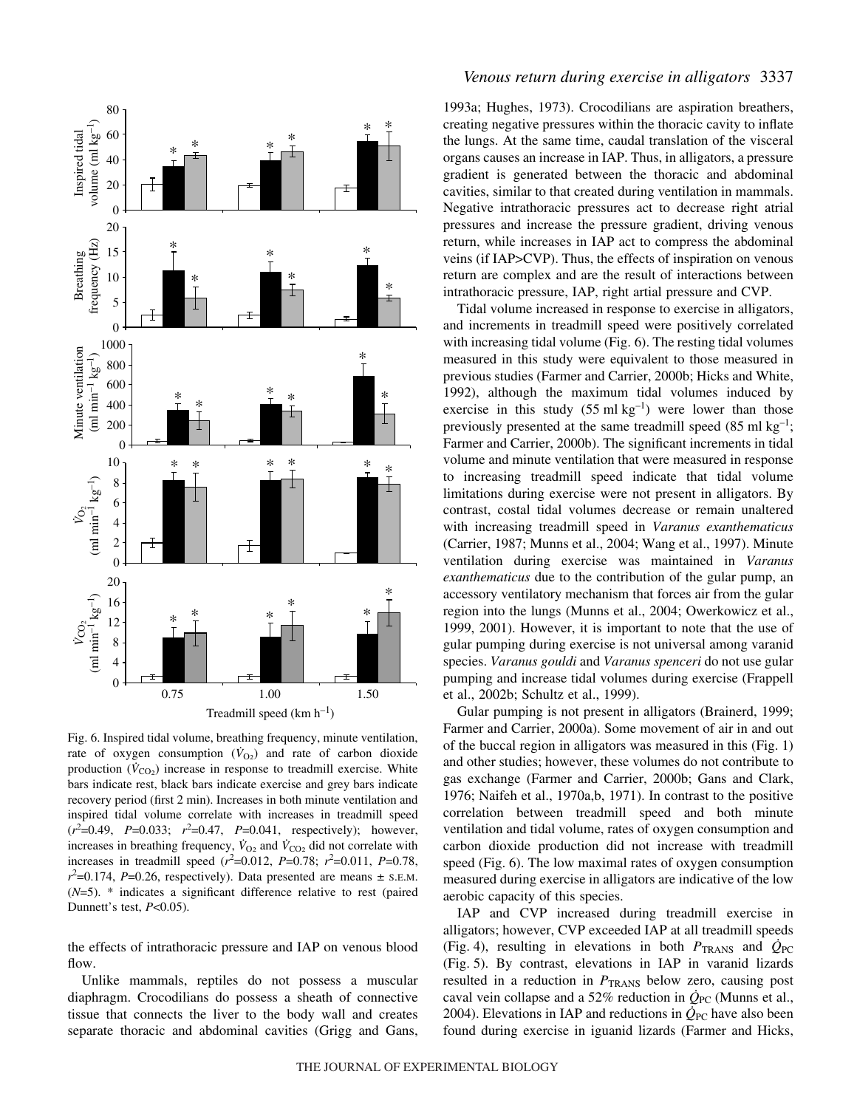

Fig. 6. Inspired tidal volume, breathing frequency, minute ventilation, rate of oxygen consumption  $(\dot{V}_{O2})$  and rate of carbon dioxide production  $(V_{CO<sub>2</sub>)$  increase in response to treadmill exercise. White bars indicate rest, black bars indicate exercise and grey bars indicate recovery period (first 2 min). Increases in both minute ventilation and inspired tidal volume correlate with increases in treadmill speed  $(r^2=0.49, P=0.033; r^2=0.47, P=0.041, respectively)$ ; however, increases in breathing frequency,  $\dot{V}_{O_2}$  and  $\dot{V}_{CO_2}$  did not correlate with increases in treadmill speed  $(r^2=0.012, P=0.78; r^2=0.011, P=0.78,$  $r^2$ =0.174, *P*=0.26, respectively). Data presented are means  $\pm$  s.E.M. (*N*=5). \* indicates a significant difference relative to rest (paired Dunnett's test, *P*<0.05).

the effects of intrathoracic pressure and IAP on venous blood flow.

Unlike mammals, reptiles do not possess a muscular diaphragm. Crocodilians do possess a sheath of connective tissue that connects the liver to the body wall and creates separate thoracic and abdominal cavities (Grigg and Gans,

### *Venous return during exercise in alligators* 3337

1993a; Hughes, 1973). Crocodilians are aspiration breathers, creating negative pressures within the thoracic cavity to inflate the lungs. At the same time, caudal translation of the visceral organs causes an increase in IAP. Thus, in alligators, a pressure gradient is generated between the thoracic and abdominal cavities, similar to that created during ventilation in mammals. Negative intrathoracic pressures act to decrease right atrial pressures and increase the pressure gradient, driving venous return, while increases in IAP act to compress the abdominal veins (if IAP>CVP). Thus, the effects of inspiration on venous return are complex and are the result of interactions between intrathoracic pressure, IAP, right artial pressure and CVP.

Tidal volume increased in response to exercise in alligators, and increments in treadmill speed were positively correlated with increasing tidal volume (Fig. 6). The resting tidal volumes measured in this study were equivalent to those measured in previous studies (Farmer and Carrier, 2000b; Hicks and White, 1992), although the maximum tidal volumes induced by exercise in this study  $(55 \text{ ml kg}^{-1})$  were lower than those previously presented at the same treadmill speed  $(85 \text{ ml kg}^{-1})$ ; Farmer and Carrier, 2000b). The significant increments in tidal volume and minute ventilation that were measured in response to increasing treadmill speed indicate that tidal volume limitations during exercise were not present in alligators. By contrast, costal tidal volumes decrease or remain unaltered with increasing treadmill speed in *Varanus exanthematicus* (Carrier, 1987; Munns et al., 2004; Wang et al., 1997). Minute ventilation during exercise was maintained in *Varanus exanthematicus* due to the contribution of the gular pump, an accessory ventilatory mechanism that forces air from the gular region into the lungs (Munns et al., 2004; Owerkowicz et al., 1999, 2001). However, it is important to note that the use of gular pumping during exercise is not universal among varanid species. *Varanus gouldi* and *Varanus spenceri* do not use gular pumping and increase tidal volumes during exercise (Frappell et al., 2002b; Schultz et al., 1999).

Gular pumping is not present in alligators (Brainerd, 1999; Farmer and Carrier, 2000a). Some movement of air in and out of the buccal region in alligators was measured in this (Fig.·1) and other studies; however, these volumes do not contribute to gas exchange (Farmer and Carrier, 2000b; Gans and Clark, 1976; Naifeh et al., 1970a,b, 1971). In contrast to the positive correlation between treadmill speed and both minute ventilation and tidal volume, rates of oxygen consumption and carbon dioxide production did not increase with treadmill speed (Fig. 6). The low maximal rates of oxygen consumption measured during exercise in alligators are indicative of the low aerobic capacity of this species.

IAP and CVP increased during treadmill exercise in alligators; however, CVP exceeded IAP at all treadmill speeds (Fig. 4), resulting in elevations in both  $P_{\text{TRANS}}$  and  $\dot{Q}_{\text{PC}}$ (Fig. 5). By contrast, elevations in IAP in varanid lizards resulted in a reduction in  $P_{\text{TRANS}}$  below zero, causing post caval vein collapse and a 52% reduction in  $Q_{PC}$  (Munns et al., 2004). Elevations in IAP and reductions in  $\dot{Q}_{PC}$  have also been found during exercise in iguanid lizards (Farmer and Hicks,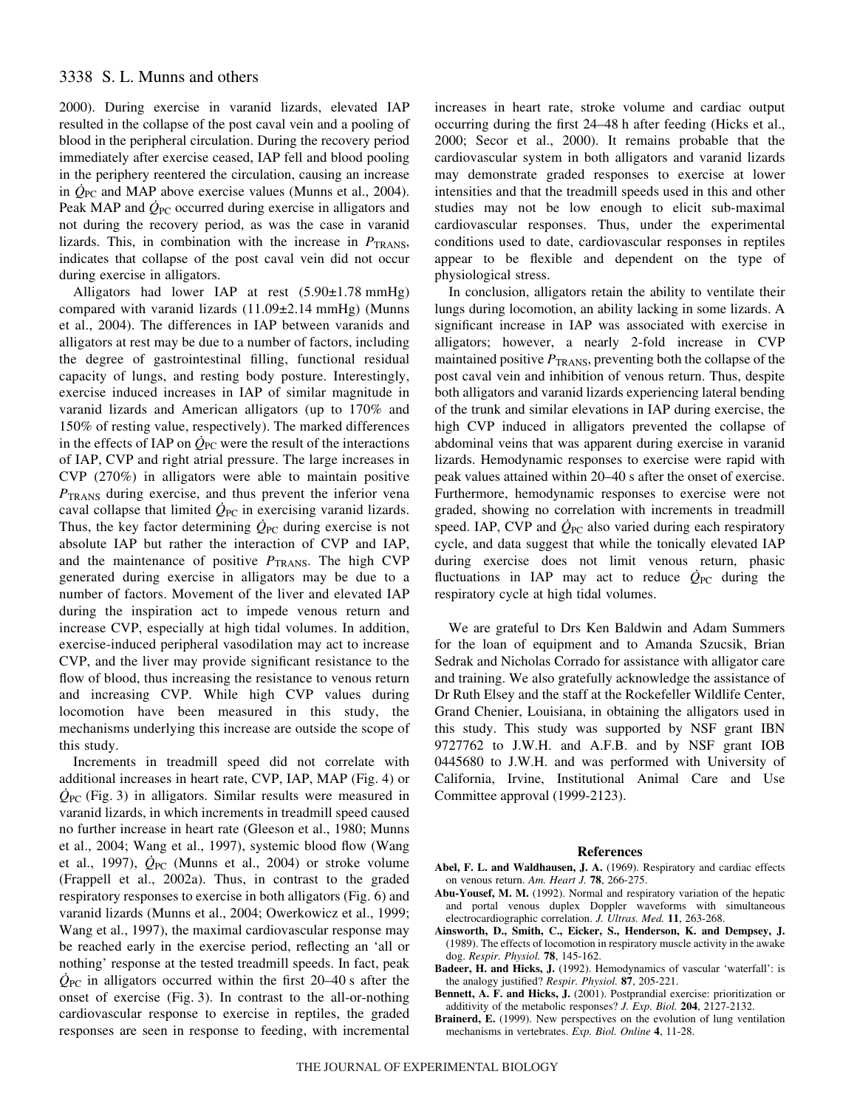# 3338 S. L. Munns and others

2000). During exercise in varanid lizards, elevated IAP resulted in the collapse of the post caval vein and a pooling of blood in the peripheral circulation. During the recovery period immediately after exercise ceased, IAP fell and blood pooling in the periphery reentered the circulation, causing an increase in *Q*PC and MAP above exercise values (Munns et al., 2004). Peak MAP and  $Q_{PC}$  occurred during exercise in alligators and not during the recovery period, as was the case in varanid lizards. This, in combination with the increase in  $P_{\text{TRANS}}$ , indicates that collapse of the post caval vein did not occur during exercise in alligators.

Alligators had lower IAP at rest  $(5.90 \pm 1.78 \text{ mmHg})$ compared with varanid lizards  $(11.09\pm2.14 \text{ mmHg})$  (Munns et al., 2004). The differences in IAP between varanids and alligators at rest may be due to a number of factors, including the degree of gastrointestinal filling, functional residual capacity of lungs, and resting body posture. Interestingly, exercise induced increases in IAP of similar magnitude in varanid lizards and American alligators (up to 170% and 150% of resting value, respectively). The marked differences in the effects of IAP on  $Q_{PC}$  were the result of the interactions of IAP, CVP and right atrial pressure. The large increases in CVP (270%) in alligators were able to maintain positive *P*<sub>TRANS</sub> during exercise, and thus prevent the inferior vena caval collapse that limited  $\dot{Q}_{PC}$  in exercising varanid lizards. Thus, the key factor determining  $Q_{\text{PC}}$  during exercise is not absolute IAP but rather the interaction of CVP and IAP, and the maintenance of positive  $P_{\text{TRANS}}$ . The high CVP generated during exercise in alligators may be due to a number of factors. Movement of the liver and elevated IAP during the inspiration act to impede venous return and increase CVP, especially at high tidal volumes. In addition, exercise-induced peripheral vasodilation may act to increase CVP, and the liver may provide significant resistance to the flow of blood, thus increasing the resistance to venous return and increasing CVP. While high CVP values during locomotion have been measured in this study, the mechanisms underlying this increase are outside the scope of this study.

Increments in treadmill speed did not correlate with additional increases in heart rate, CVP, IAP, MAP (Fig. 4) or *Q*PC (Fig.·3) in alligators. Similar results were measured in varanid lizards, in which increments in treadmill speed caused no further increase in heart rate (Gleeson et al., 1980; Munns et al., 2004; Wang et al., 1997), systemic blood flow (Wang et al., 1997),  $\dot{Q}_{PC}$  (Munns et al., 2004) or stroke volume (Frappell et al., 2002a). Thus, in contrast to the graded respiratory responses to exercise in both alligators (Fig. 6) and varanid lizards (Munns et al., 2004; Owerkowicz et al., 1999; Wang et al., 1997), the maximal cardiovascular response may be reached early in the exercise period, reflecting an 'all or nothing' response at the tested treadmill speeds. In fact, peak  $Q_{\text{PC}}$  in alligators occurred within the first 20–40 s after the onset of exercise (Fig. 3). In contrast to the all-or-nothing cardiovascular response to exercise in reptiles, the graded responses are seen in response to feeding, with incremental

increases in heart rate, stroke volume and cardiac output occurring during the first 24–48 h after feeding (Hicks et al., 2000; Secor et al., 2000). It remains probable that the cardiovascular system in both alligators and varanid lizards may demonstrate graded responses to exercise at lower intensities and that the treadmill speeds used in this and other studies may not be low enough to elicit sub-maximal cardiovascular responses. Thus, under the experimental conditions used to date, cardiovascular responses in reptiles appear to be flexible and dependent on the type of physiological stress.

In conclusion, alligators retain the ability to ventilate their lungs during locomotion, an ability lacking in some lizards. A significant increase in IAP was associated with exercise in alligators; however, a nearly 2-fold increase in CVP maintained positive  $P_{\text{TRANS}}$ , preventing both the collapse of the post caval vein and inhibition of venous return. Thus, despite both alligators and varanid lizards experiencing lateral bending of the trunk and similar elevations in IAP during exercise, the high CVP induced in alligators prevented the collapse of abdominal veins that was apparent during exercise in varanid lizards. Hemodynamic responses to exercise were rapid with peak values attained within 20–40 s after the onset of exercise. Furthermore, hemodynamic responses to exercise were not graded, showing no correlation with increments in treadmill speed. IAP, CVP and  $Q_{PC}$  also varied during each respiratory cycle, and data suggest that while the tonically elevated IAP during exercise does not limit venous return, phasic fluctuations in IAP may act to reduce  $\dot{Q}_{PC}$  during the respiratory cycle at high tidal volumes.

We are grateful to Drs Ken Baldwin and Adam Summers for the loan of equipment and to Amanda Szucsik, Brian Sedrak and Nicholas Corrado for assistance with alligator care and training. We also gratefully acknowledge the assistance of Dr Ruth Elsey and the staff at the Rockefeller Wildlife Center, Grand Chenier, Louisiana, in obtaining the alligators used in this study. This study was supported by NSF grant IBN 9727762 to J.W.H. and A.F.B. and by NSF grant IOB 0445680 to J.W.H. and was performed with University of California, Irvine, Institutional Animal Care and Use Committee approval (1999-2123).

#### **References**

- **Abel, F. L. and Waldhausen, J. A.** (1969). Respiratory and cardiac effects on venous return. *Am. Heart J.* **78**, 266-275.
- **Abu-Yousef, M. M.** (1992). Normal and respiratory variation of the hepatic and portal venous duplex Doppler waveforms with simultaneous electrocardiographic correlation. *J. Ultras. Med.* **11**, 263-268.
- **Ainsworth, D., Smith, C., Eicker, S., Henderson, K. and Dempsey, J.** (1989). The effects of locomotion in respiratory muscle activity in the awake dog. *Respir. Physiol.* **78**, 145-162.
- **Badeer, H. and Hicks, J.** (1992). Hemodynamics of vascular 'waterfall': is the analogy justified? *Respir. Physiol.* **87**, 205-221.
- **Bennett, A. F. and Hicks, J.** (2001). Postprandial exercise: prioritization or additivity of the metabolic responses? *J. Exp. Biol.* **204**, 2127-2132.
- **Brainerd, E.** (1999). New perspectives on the evolution of lung ventilation mechanisms in vertebrates. *Exp. Biol. Online* **4**, 11-28.